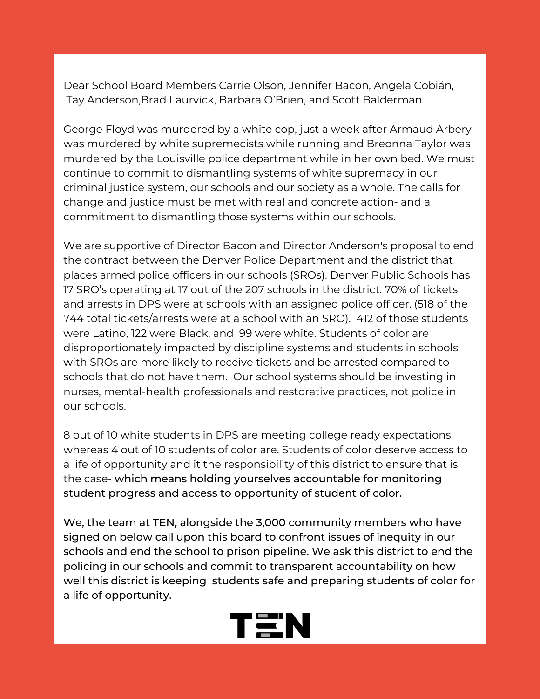Dear School Board Members Carrie Olson, Jennifer Bacon, Angela Cobián, Tay Anderson,Brad Laurvick, Barbara O'Brien, and Scott Balderman

George Floyd was murdered by a white cop, just a week after Armaud Arbery was murdered by white supremecists while running and Breonna Taylor was murdered by the Louisville police department while in her own bed. We must continue to commit to dismantling systems of white supremacy in our criminal justice system, our schools and our society as a whole. The calls for change and justice must be met with real and concrete action- and a commitment to dismantling those systems within our schools.

We are supportive of Director Bacon and Director Anderson's proposal to end the contract between the Denver Police Department and the district that places armed police officers in our schools (SROs). Denver Public Schools has 17 SRO's operating at 17 out of the 207 schools in the district. 70% of tickets and arrests in DPS were at schools with an assigned police officer. (518 of the 744 total tickets/arrests were at a school with an SRO). 412 of those students were Latino, 122 were Black, and 99 were white. Students of color are disproportionately impacted by discipline systems and students in schools with SROs are more likely to receive tickets and be arrested compared to schools that do not have them. Our school systems should be investing in nurses, mental-health professionals and restorative practices, not police in our schools.

8 out of 10 white students in DPS are meeting college ready expectations whereas 4 out of 10 students of color are. Students of color deserve access to a life of opportunity and it the responsibility of this district to ensure that is the case- which means holding yourselves accountable for monitoring student progress and access to opportunity of student of color.

We, the team at TEN, alongside the 3,000 community members who have signed on below call upon this board to confront issues of inequity in our schools and end the school to prison pipeline. We ask this district to end the policing in our schools and commit to transparent accountability on how well this district is keeping students safe and preparing students of color for a life of opportunity.